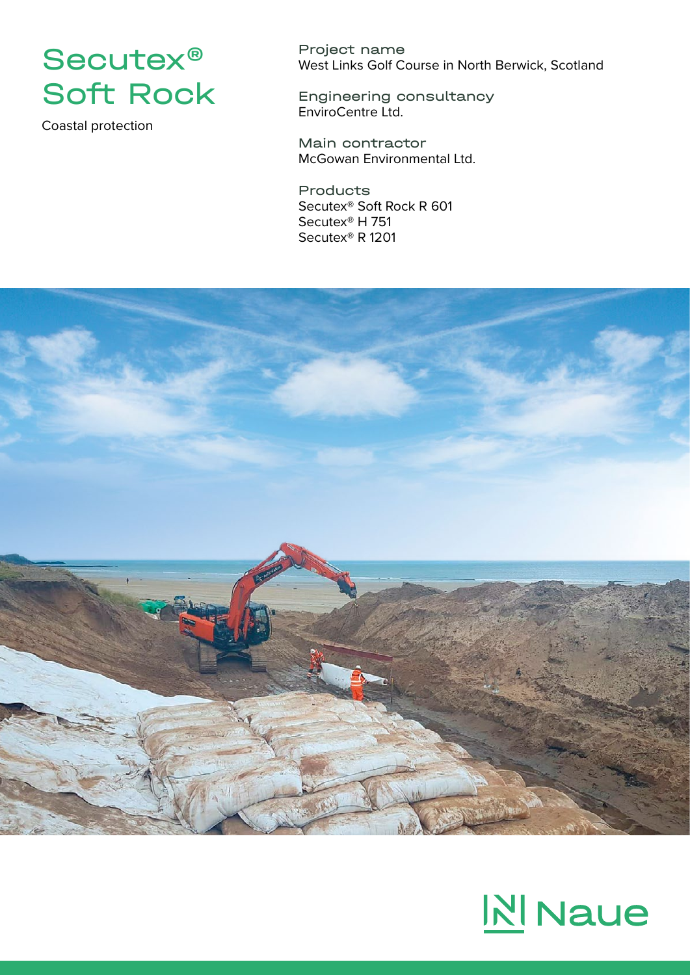

Coastal protection

Project name West Links Golf Course in North Berwick, Scotland

Engineering consultancy EnviroCentre Ltd.

Main contractor McGowan Environmental Ltd.

Products Secutex® Soft Rock R 601 Secutex® H 751 Secutex® R 1201



## **NI** Naue